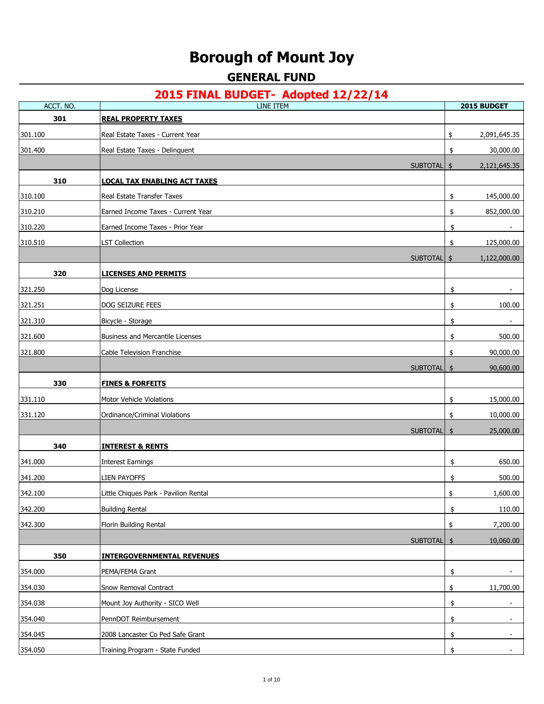# **Borough of Mount Joy**

## **GENERAL FUND**

| ACCT. NO. | $2013$ The bobse $-$ adopted $12/22/17$<br><b>LINE ITEM</b> | 2015 BUDGET                    |
|-----------|-------------------------------------------------------------|--------------------------------|
| 301       | <b>REAL PROPERTY TAXES</b>                                  |                                |
| 301.100   | Real Estate Taxes - Current Year                            | \$<br>2,091,645.35             |
| 301.400   | Real Estate Taxes - Delinquent                              | 30,000.00<br>\$                |
|           | SUBTOTAL \$                                                 | 2,121,645.35                   |
| 310       | <u>LOCAL TAX ENABLING ACT TAXES</u>                         |                                |
| 310.100   | Real Estate Transfer Taxes                                  | \$<br>145,000.00               |
| 310.210   | Earned Income Taxes - Current Year                          | 852,000.00<br>\$               |
| 310.220   | Earned Income Taxes - Prior Year                            | \$<br>$\overline{\phantom{a}}$ |
| 310.510   | LST Collection                                              | 125,000.00<br>\$               |
|           | SUBTOTAL \$                                                 | 1,122,000.00                   |
| 320       | <u>LICENSES AND PERMITS</u>                                 |                                |
| 321.250   | Dog License                                                 | \$                             |
| 321.251   | DOG SEIZURE FEES                                            | \$<br>100.00                   |
| 321.310   | Bicycle - Storage                                           | \$                             |
| 321.600   | Business and Mercantile Licenses                            | 500.00<br>\$                   |
| 321.800   | Cable Television Franchise                                  | 90,000.00<br>\$                |
|           | SUBTOTAL \$                                                 | 90,600.00                      |
| 330       | <b>FINES &amp; FORFEITS</b>                                 |                                |
| 331.110   | Motor Vehicle Violations                                    | \$<br>15,000.00                |
| 331.120   | Ordinance/Criminal Violations                               | \$<br>10,000.00                |
|           | <b>SUBTOTAL</b>                                             | 25,000.00<br>\$                |
| 340       | <b>INTEREST &amp; RENTS</b>                                 |                                |
| 341.000   | <b>Interest Earnings</b>                                    | 650.00<br>\$                   |
| 341.200   | <b>LIEN PAYOFFS</b>                                         | 500.00<br>\$                   |
| 342.100   | Little Chiques Park - Pavilion Rental                       | \$<br>1,600.00                 |
| 342.200   | <b>Building Rental</b>                                      | \$<br>110.00                   |
| 342.300   | Florin Building Rental                                      | \$<br>7,200.00                 |
|           | SUBTOTAL \$                                                 | 10,060.00                      |
| 350       | <b>INTERGOVERNMENTAL REVENUES</b>                           |                                |
| 354.000   | PEMA/FEMA Grant                                             | \$                             |
| 354.030   | Snow Removal Contract                                       | 11,700.00<br>\$                |
| 354.038   | Mount Joy Authority - SICO Well                             | \$                             |
| 354.040   | PennDOT Reimbursement                                       | \$                             |
| 354.045   | 2008 Lancaster Co Ped Safe Grant                            | \$                             |
| 354.050   | Training Program - State Funded                             | \$                             |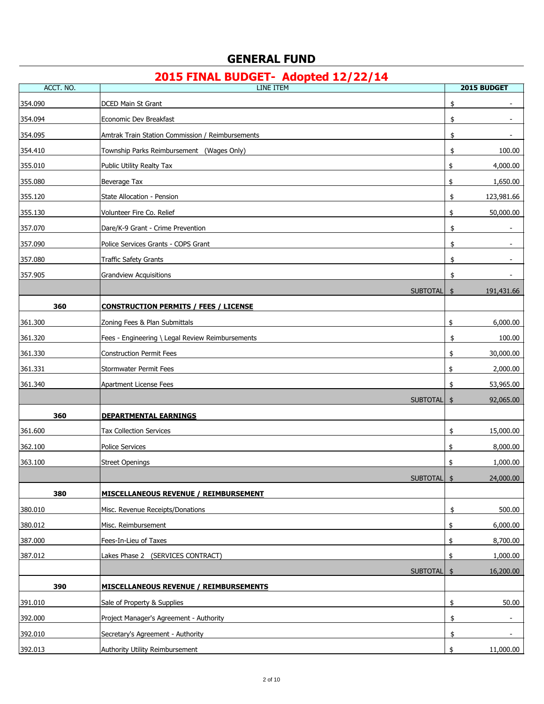| ACCT. NO. | LINE ITEM                                        | 2015 BUDGET                    |
|-----------|--------------------------------------------------|--------------------------------|
| 354.090   | <b>DCED Main St Grant</b>                        | \$                             |
| 354.094   | Economic Dev Breakfast                           | \$                             |
| 354.095   | Amtrak Train Station Commission / Reimbursements | \$                             |
| 354.410   | Township Parks Reimbursement (Wages Only)        | 100.00<br>\$                   |
| 355.010   | Public Utility Realty Tax                        | 4,000.00<br>\$                 |
| 355.080   | Beverage Tax                                     | \$<br>1,650.00                 |
| 355.120   | State Allocation - Pension                       | 123,981.66<br>\$               |
| 355.130   | Volunteer Fire Co. Relief                        | 50,000.00<br>\$                |
| 357.070   | Dare/K-9 Grant - Crime Prevention                | \$                             |
| 357.090   | Police Services Grants - COPS Grant              | \$<br>$\overline{\phantom{a}}$ |
| 357.080   | <b>Traffic Safety Grants</b>                     | \$                             |
| 357.905   | <b>Grandview Acquisitions</b>                    | \$                             |
|           | SUBTOTAL                                         | 191,431.66<br>\$               |
| 360       | <b>CONSTRUCTION PERMITS / FEES / LICENSE</b>     |                                |
| 361.300   | Zoning Fees & Plan Submittals                    | \$<br>6,000.00                 |
| 361.320   | Fees - Engineering \ Legal Review Reimbursements | \$<br>100.00                   |
| 361.330   | <b>Construction Permit Fees</b>                  | 30,000.00<br>\$                |
| 361.331   | Stormwater Permit Fees                           | \$<br>2,000.00                 |
| 361.340   | Apartment License Fees                           | 53,965.00<br>\$                |
|           | <b>SUBTOTAL</b>                                  | 92,065.00<br>\$                |
| 360       | <b>DEPARTMENTAL EARNINGS</b>                     |                                |
| 361.600   | <b>Tax Collection Services</b>                   | \$<br>15,000.00                |
| 362.100   | Police Services                                  | 8,000.00<br>\$                 |
| 363.100   | <b>Street Openings</b>                           | 1,000.00<br>\$                 |
|           | SUBTOTAL \$                                      | 24,000.00                      |
| 380       | MISCELLANEOUS REVENUE / REIMBURSEMENT            |                                |
| 380.010   | Misc. Revenue Receipts/Donations                 | \$<br>500.00                   |
| 380.012   | Misc. Reimbursement                              | \$<br>6,000.00                 |
| 387.000   | Fees-In-Lieu of Taxes                            | \$<br>8,700.00                 |
| 387.012   | Lakes Phase 2 (SERVICES CONTRACT)                | 1,000.00<br>\$                 |
|           | <b>SUBTOTAL</b>                                  | 16,200.00<br>\$                |
| 390       | <b>MISCELLANEOUS REVENUE / REIMBURSEMENTS</b>    |                                |
| 391.010   | Sale of Property & Supplies                      | \$<br>50.00                    |
| 392.000   | Project Manager's Agreement - Authority          | \$                             |
| 392.010   | Secretary's Agreement - Authority                | \$                             |
| 392.013   | Authority Utility Reimbursement                  | 11,000.00<br>\$                |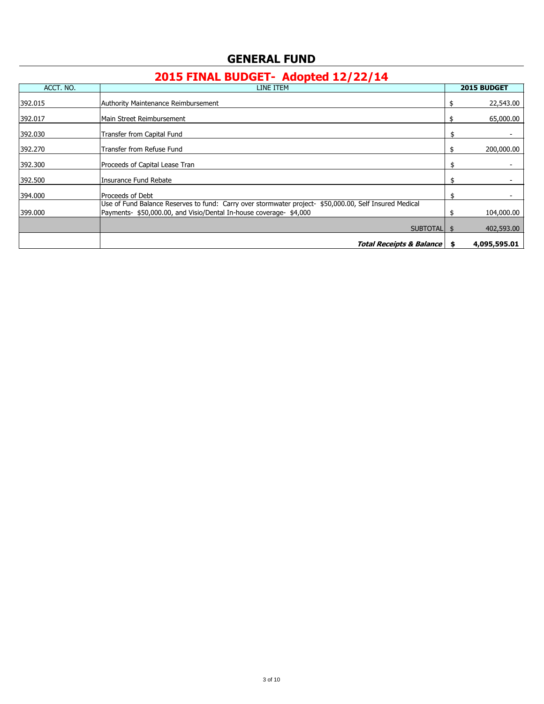| ACCT. NO. | LINE ITEM                                                                                                                                                                    |     | 2015 BUDGET  |
|-----------|------------------------------------------------------------------------------------------------------------------------------------------------------------------------------|-----|--------------|
| 392.015   | Authority Maintenance Reimbursement                                                                                                                                          |     | 22,543.00    |
| 392.017   | Main Street Reimbursement                                                                                                                                                    | S   | 65,000.00    |
| 392.030   | Transfer from Capital Fund                                                                                                                                                   | \$  |              |
| 392.270   | Transfer from Refuse Fund                                                                                                                                                    |     | 200,000.00   |
| 392.300   | Proceeds of Capital Lease Tran                                                                                                                                               | \$. |              |
| 392.500   | Insurance Fund Rebate                                                                                                                                                        |     |              |
| 394.000   | Proceeds of Debt                                                                                                                                                             |     |              |
| 399.000   | Use of Fund Balance Reserves to fund: Carry over stormwater project- \$50,000.00, Self Insured Medical<br>Payments- \$50,000.00, and Visio/Dental In-house coverage- \$4,000 |     | 104,000.00   |
|           | <b>SUBTOTALI</b>                                                                                                                                                             | \$. | 402,593.00   |
|           | <b>Total Receipts &amp; Balance</b>                                                                                                                                          | S.  | 4,095,595.01 |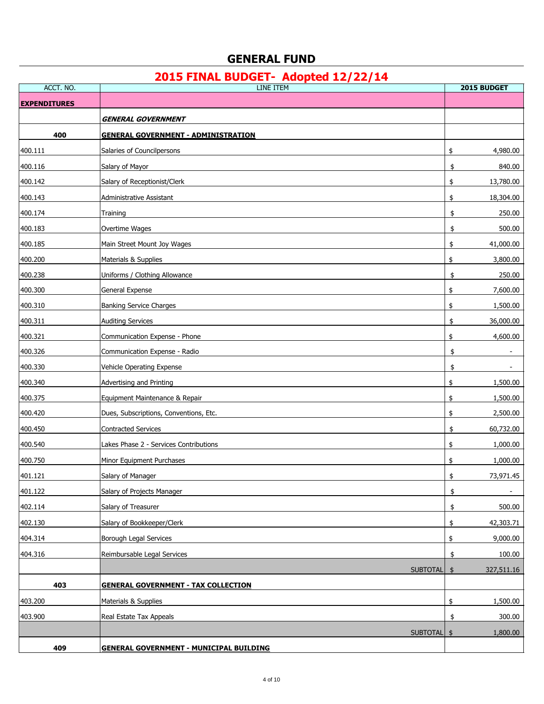| ACCT. NO.           | <b>LINE ITEM</b>                               | 2015 BUDGET                 |
|---------------------|------------------------------------------------|-----------------------------|
| <b>EXPENDITURES</b> |                                                |                             |
|                     | GENERAL GOVERNMENT                             |                             |
| 400                 | <b>GENERAL GOVERNMENT - ADMINISTRATION</b>     |                             |
| 400.111             | Salaries of Councilpersons                     | \$<br>4,980.00              |
| 400.116             | Salary of Mayor                                | 840.00<br>\$                |
| 400.142             | Salary of Receptionist/Clerk                   | \$<br>13,780.00             |
| 400.143             | Administrative Assistant                       | 18,304.00<br>\$             |
| 400.174             | Training                                       | 250.00<br>\$                |
| 400.183             | Overtime Wages                                 | 500.00<br>\$                |
| 400.185             | Main Street Mount Joy Wages                    | \$<br>41,000.00             |
| 400.200             | Materials & Supplies                           | \$<br>3,800.00              |
| 400.238             | Uniforms / Clothing Allowance                  | 250.00<br>\$                |
| 400.300             | General Expense                                | \$<br>7,600.00              |
| 400.310             | <b>Banking Service Charges</b>                 | \$<br>1,500.00              |
| 400.311             | <b>Auditing Services</b>                       | 36,000.00<br>\$             |
| 400.321             | Communication Expense - Phone                  | 4,600.00<br>\$              |
| 400.326             | Communication Expense - Radio                  | \$                          |
| 400.330             | Vehicle Operating Expense                      | \$                          |
| 400.340             | Advertising and Printing                       | \$<br>1,500.00              |
| 400.375             | Equipment Maintenance & Repair                 | 1,500.00<br>\$              |
| 400.420             | Dues, Subscriptions, Conventions, Etc.         | \$<br>2,500.00              |
| 400.450             | Contracted Services                            | \$<br>60,732.00             |
| 400.540             | Lakes Phase 2 - Services Contributions         | \$<br>1,000.00              |
| 400.750             | Minor Equipment Purchases                      | \$<br>1,000.00              |
| 401.121             | Salary of Manager                              | 73,971.45<br>\$             |
| 401.122             | Salary of Projects Manager                     | \$                          |
| 402.114             | Salary of Treasurer                            | 500.00<br>\$                |
| 402.130             | Salary of Bookkeeper/Clerk                     | 42,303.71<br>\$             |
| 404.314             | <b>Borough Legal Services</b>                  | \$<br>9,000.00              |
| 404.316             | Reimbursable Legal Services                    | 100.00<br>\$                |
|                     | <b>SUBTOTAL</b>                                | $\frac{1}{2}$<br>327,511.16 |
| 403                 | <b>GENERAL GOVERNMENT - TAX COLLECTION</b>     |                             |
| 403.200             | Materials & Supplies                           | \$<br>1,500.00              |
| 403.900             | Real Estate Tax Appeals                        | 300.00<br>\$                |
|                     | <b>SUBTOTAL</b>                                | $\frac{1}{2}$<br>1,800.00   |
| 409                 | <b>GENERAL GOVERNMENT - MUNICIPAL BUILDING</b> |                             |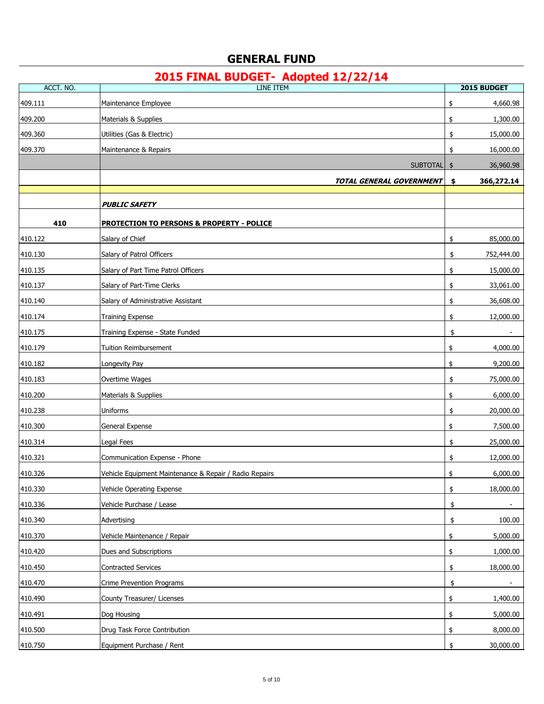| ACCT. NO. | LINE ITEM                                              | 2015 BUDGET                    |
|-----------|--------------------------------------------------------|--------------------------------|
| 409.111   | Maintenance Employee                                   | \$<br>4,660.98                 |
| 409.200   | Materials & Supplies                                   | \$<br>1,300.00                 |
| 409.360   | Utilities (Gas & Electric)                             | \$<br>15,000.00                |
| 409.370   | Maintenance & Repairs                                  | 16,000.00<br>\$                |
|           | <b>SUBTOTAL</b>                                        | 36,960.98<br>\$                |
|           | TOTAL GENERAL GOVERNMENT                               | 366,272.14<br>\$               |
|           |                                                        |                                |
|           | <b>PUBLIC SAFETY</b>                                   |                                |
| 410       | <b>PROTECTION TO PERSONS &amp; PROPERTY - POLICE</b>   |                                |
| 410.122   | Salary of Chief                                        | 85,000.00<br>\$                |
| 410.130   | Salary of Patrol Officers                              | \$<br>752,444.00               |
| 410.135   | Salary of Part Time Patrol Officers                    | 15,000.00<br>\$                |
| 410.137   | Salary of Part-Time Clerks                             | \$<br>33,061.00                |
| 410.140   | Salary of Administrative Assistant                     | \$<br>36,608.00                |
| 410.174   | <b>Training Expense</b>                                | \$<br>12,000.00                |
| 410.175   | Training Expense - State Funded                        | \$                             |
| 410.179   | Tuition Reimbursement                                  | \$<br>4,000.00                 |
| 410.182   | Longevity Pay                                          | \$<br>9,200.00                 |
| 410.183   | Overtime Wages                                         | 75,000.00<br>\$                |
| 410.200   | Materials & Supplies                                   | 6,000.00<br>\$                 |
| 410.238   | Uniforms                                               | 20,000.00<br>\$                |
| 410.300   | General Expense                                        | \$<br>7,500.00                 |
| 410.314   | Legal Fees                                             | \$<br>25,000.00                |
| 410.321   | Communication Expense - Phone                          | \$<br>12,000.00                |
| 410.326   | Vehicle Equipment Maintenance & Repair / Radio Repairs | 6,000.00<br>\$                 |
| 410.330   | Vehicle Operating Expense                              | 18,000.00<br>\$                |
| 410.336   | Vehicle Purchase / Lease                               | \$<br>$\overline{\phantom{a}}$ |
| 410.340   | Advertising                                            | 100.00<br>\$                   |
| 410.370   | Vehicle Maintenance / Repair                           | 5,000.00<br>\$                 |
| 410.420   | Dues and Subscriptions                                 | \$<br>1,000.00                 |
| 410.450   | <b>Contracted Services</b>                             | 18,000.00<br>\$                |
| 410.470   | Crime Prevention Programs                              | \$                             |
| 410.490   | County Treasurer/ Licenses                             | \$<br>1,400.00                 |
| 410.491   | Dog Housing                                            | 5,000.00<br>\$                 |
| 410.500   | Drug Task Force Contribution                           | 8,000.00<br>\$                 |
| 410.750   | Equipment Purchase / Rent                              | 30,000.00<br>\$                |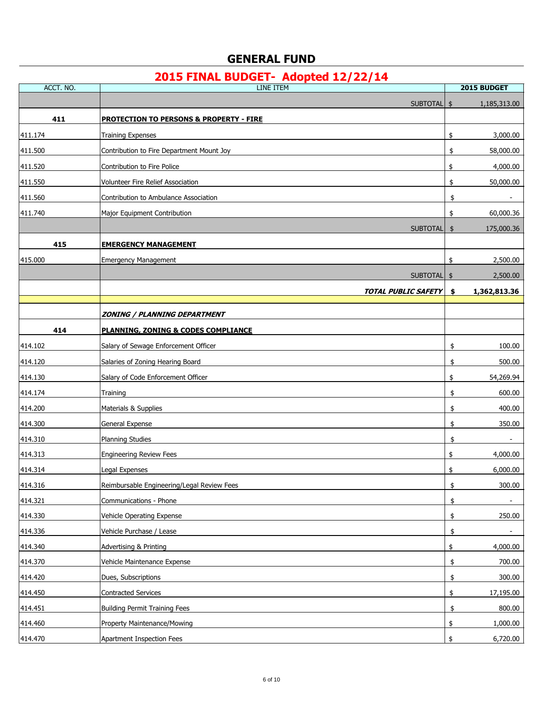| ACCT. NO. | <b>LINE ITEM</b>                                   |               | 2015 BUDGET  |
|-----------|----------------------------------------------------|---------------|--------------|
|           | SUBTOTAL \$                                        |               | 1,185,313.00 |
| 411       | <b>PROTECTION TO PERSONS &amp; PROPERTY - FIRE</b> |               |              |
| 411.174   | <b>Training Expenses</b>                           | \$            | 3,000.00     |
| 411.500   | Contribution to Fire Department Mount Joy          | \$            | 58,000.00    |
| 411.520   | Contribution to Fire Police                        | \$            | 4,000.00     |
| 411.550   | Volunteer Fire Relief Association                  | \$            | 50,000.00    |
| 411.560   | Contribution to Ambulance Association              | \$            |              |
| 411.740   | Major Equipment Contribution                       | \$            | 60,000.36    |
|           | <b>SUBTOTAL</b>                                    | $\frac{1}{2}$ | 175,000.36   |
| 415       | <b>EMERGENCY MANAGEMENT</b>                        |               |              |
| 415.000   | <b>Emergency Management</b>                        | \$            | 2,500.00     |
|           | <b>SUBTOTAL</b>                                    | \$            | 2,500.00     |
|           | <b>TOTAL PUBLIC SAFETY</b>                         | \$            | 1,362,813.36 |
|           |                                                    |               |              |
|           | <b>ZONING / PLANNING DEPARTMENT</b>                |               |              |
| 414       | PLANNING, ZONING & CODES COMPLIANCE                |               |              |
| 414.102   | Salary of Sewage Enforcement Officer               | \$            | 100.00       |
| 414.120   | Salaries of Zoning Hearing Board                   | \$            | 500.00       |
| 414.130   | Salary of Code Enforcement Officer                 | \$            | 54,269.94    |
| 414.174   | Training                                           | \$            | 600.00       |
| 414.200   | Materials & Supplies                               | \$            | 400.00       |
| 414.300   | General Expense                                    | \$            | 350.00       |
| 414.310   | Planning Studies                                   | \$            |              |
| 414.313   | <b>Engineering Review Fees</b>                     | \$            | 4,000.00     |
| 414.314   | Legal Expenses                                     | \$            | 6,000.00     |
| 414.316   | Reimbursable Engineering/Legal Review Fees         | \$            | 300.00       |
| 414.321   | Communications - Phone                             | \$            |              |
| 414.330   | Vehicle Operating Expense                          | \$            | 250.00       |
| 414.336   | Vehicle Purchase / Lease                           | \$            |              |
| 414.340   | Advertising & Printing                             | \$            | 4,000.00     |
| 414.370   | Vehicle Maintenance Expense                        | \$            | 700.00       |
| 414.420   | Dues, Subscriptions                                | \$            | 300.00       |
| 414.450   | <b>Contracted Services</b>                         | \$            | 17,195.00    |
| 414.451   | <b>Building Permit Training Fees</b>               | \$            | 800.00       |
| 414.460   | Property Maintenance/Mowing                        | \$            | 1,000.00     |
| 414.470   | Apartment Inspection Fees                          | \$            | 6,720.00     |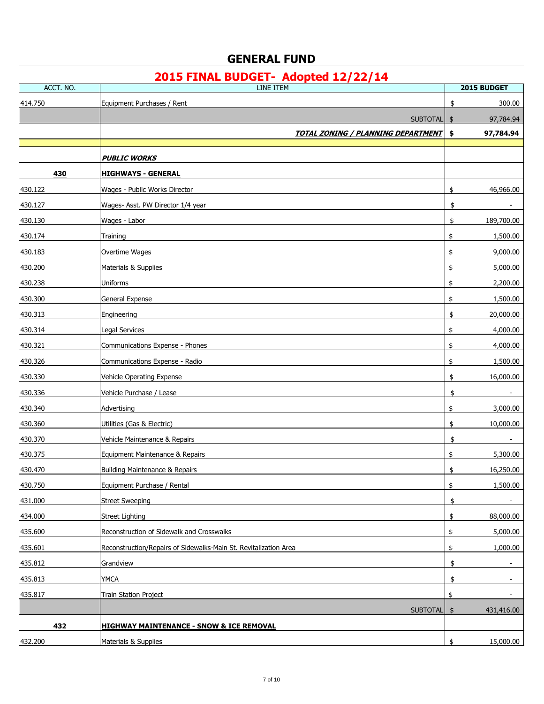| ACCT. NO. | LINE ITEM                                                        | 2015 BUDGET                    |
|-----------|------------------------------------------------------------------|--------------------------------|
| 414.750   | Equipment Purchases / Rent                                       | 300.00<br>\$                   |
|           | <b>SUBTOTAL</b>                                                  | 97,784.94<br>\$                |
|           | <b>TOTAL ZONING / PLANNING DEPARTMENT</b>                        | 97,784.94<br>\$                |
|           |                                                                  |                                |
|           | <b>PUBLIC WORKS</b>                                              |                                |
| 430       | <b>HIGHWAYS - GENERAL</b>                                        |                                |
| 430.122   | Wages - Public Works Director                                    | 46,966.00<br>\$                |
| 430.127   | Wages- Asst. PW Director 1/4 year                                | \$                             |
| 430.130   | Wages - Labor                                                    | \$<br>189,700.00               |
| 430.174   | Training                                                         | \$<br>1,500.00                 |
| 430.183   | Overtime Wages                                                   | 9,000.00<br>\$                 |
| 430.200   | Materials & Supplies                                             | 5,000.00<br>\$                 |
| 430.238   | Uniforms                                                         | 2,200.00<br>\$                 |
| 430.300   | General Expense                                                  | \$<br>1,500.00                 |
| 430.313   | Engineering                                                      | 20,000.00<br>\$                |
| 430.314   | Legal Services                                                   | \$<br>4,000.00                 |
| 430.321   | Communications Expense - Phones                                  | 4,000.00<br>\$                 |
| 430.326   | Communications Expense - Radio                                   | \$<br>1,500.00                 |
| 430.330   | Vehicle Operating Expense                                        | 16,000.00<br>\$                |
| 430.336   | Vehicle Purchase / Lease                                         | \$<br>$\overline{\phantom{a}}$ |
| 430.340   | Advertising                                                      | 3,000.00<br>\$                 |
| 430.360   | Utilities (Gas & Electric)                                       | \$<br>10,000.00                |
| 430.370   | Vehicle Maintenance & Repairs                                    | \$                             |
| 430.375   | Equipment Maintenance & Repairs                                  | \$<br>5,300.00                 |
| 430.470   | <b>Building Maintenance &amp; Repairs</b>                        | 16,250.00<br>\$                |
| 430.750   | Equipment Purchase / Rental                                      | $\frac{1}{2}$<br>1,500.00      |
| 431.000   | <b>Street Sweeping</b>                                           | \$                             |
| 434.000   | <b>Street Lighting</b>                                           | 88,000.00<br>\$                |
| 435.600   | Reconstruction of Sidewalk and Crosswalks                        | 5,000.00<br>\$                 |
| 435.601   | Reconstruction/Repairs of Sidewalks-Main St. Revitalization Area | 1,000.00<br>\$                 |
| 435.812   | Grandview                                                        | \$<br>$\overline{\phantom{a}}$ |
| 435.813   | <b>YMCA</b>                                                      | \$<br>$\overline{\phantom{a}}$ |
| 435.817   | Train Station Project                                            | \$                             |
|           | SUBTOTAL                                                         | \$<br>431,416.00               |
| 432       | <b>HIGHWAY MAINTENANCE - SNOW &amp; ICE REMOVAL</b>              |                                |
| 432.200   | Materials & Supplies                                             | \$<br>15,000.00                |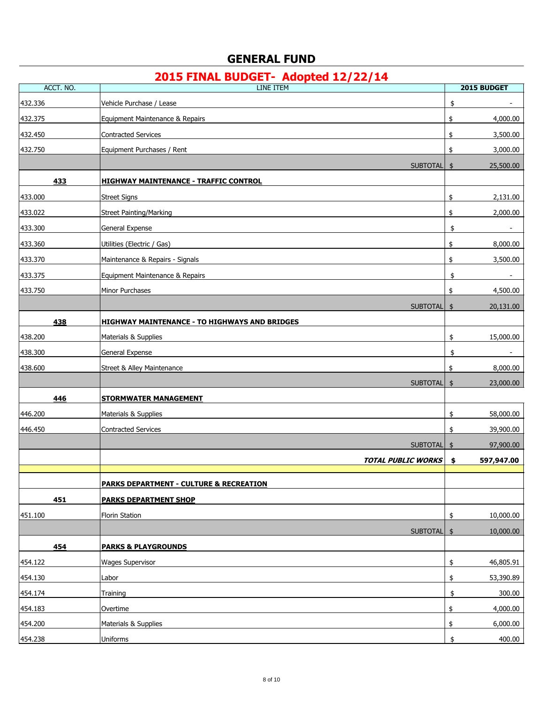| ACCT. NO.          | $\sim$<br><u> 2000 - 1</u><br>LINE ITEM            | 2015 BUDGET                    |
|--------------------|----------------------------------------------------|--------------------------------|
| 432.336            | Vehicle Purchase / Lease                           | \$                             |
| 432.375            | Equipment Maintenance & Repairs                    | \$<br>4,000.00                 |
| 432.450            | <b>Contracted Services</b>                         | 3,500.00<br>\$                 |
| 432.750            | Equipment Purchases / Rent                         | \$<br>3,000.00                 |
|                    | <b>SUBTOTAL</b>                                    | 25,500.00<br>$\frac{1}{2}$     |
| 433                | <b>HIGHWAY MAINTENANCE - TRAFFIC CONTROL</b>       |                                |
| 433.000            | <b>Street Signs</b>                                | \$<br>2,131.00                 |
| 433.022            | <b>Street Painting/Marking</b>                     | 2,000.00<br>\$                 |
| 433.300            | General Expense                                    | \$                             |
| 433.360            | Utilities (Electric / Gas)                         | \$<br>8,000.00                 |
| 433.370            | Maintenance & Repairs - Signals                    | 3,500.00<br>\$                 |
| 433.375            | Equipment Maintenance & Repairs                    | \$<br>$\overline{\phantom{a}}$ |
| 433.750            | Minor Purchases                                    | \$<br>4,500.00                 |
|                    | SUBTOTAL                                           | 20,131.00<br>$\frac{1}{2}$     |
| 438                | HIGHWAY MAINTENANCE - TO HIGHWAYS AND BRIDGES      |                                |
| 438.200            | Materials & Supplies                               | \$<br>15,000.00                |
| 438.300            | <b>General Expense</b>                             | \$                             |
| 438.600            | <b>Street &amp; Alley Maintenance</b>              | 8,000.00<br>\$                 |
|                    | <b>SUBTOTAL</b>                                    | 23,000.00<br>\$                |
| 446                | <b>STORMWATER MANAGEMENT</b>                       |                                |
| 446.200            | Materials & Supplies                               | 58,000.00<br>\$                |
| 446.450            | <b>Contracted Services</b>                         | 39,900.00<br>\$                |
|                    | SUBTOTAL                                           | 97,900.00<br>$\frac{1}{2}$     |
|                    | <b>TOTAL PUBLIC WORKS</b>                          | 597,947.00<br>\$               |
|                    | <b>PARKS DEPARTMENT - CULTURE &amp; RECREATION</b> |                                |
| 451                | <b>PARKS DEPARTMENT SHOP</b>                       |                                |
| 451.100            |                                                    | 10,000.00<br>\$                |
|                    | <b>Florin Station</b>                              |                                |
|                    | <b>SUBTOTAL</b>                                    | 10,000.00<br>$\frac{1}{2}$     |
| 454                | <b>PARKS &amp; PLAYGROUNDS</b>                     |                                |
| 454.122            | <b>Wages Supervisor</b>                            | \$<br>46,805.91                |
| 454.130            | Labor                                              | \$<br>53,390.89                |
| 454.174            | Training                                           | \$<br>300.00                   |
| 454.183<br>454.200 | Overtime<br>Materials & Supplies                   | \$<br>4,000.00<br>6,000.00     |
| 454.238            | Uniforms                                           | \$<br>400.00                   |
|                    |                                                    | \$                             |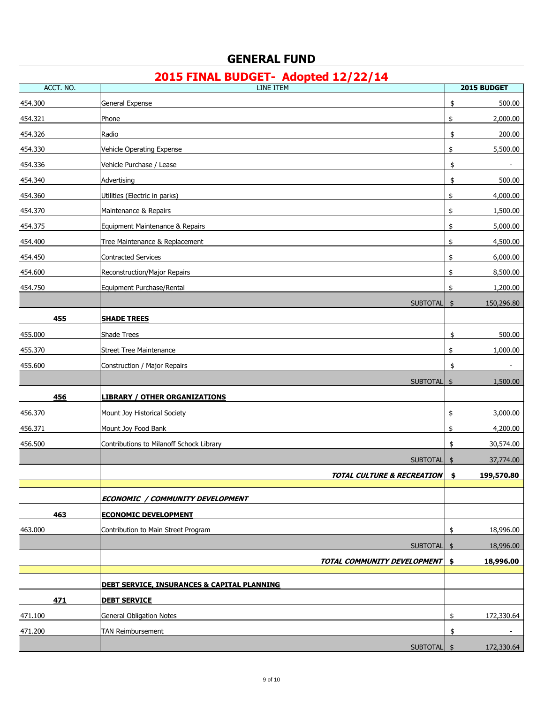| ACCT. NO. | <b>LINE ITEM</b>                                       | 2015 BUDGET      |
|-----------|--------------------------------------------------------|------------------|
| 454.300   | General Expense                                        | \$<br>500.00     |
| 454.321   | Phone                                                  | \$<br>2,000.00   |
| 454.326   | Radio                                                  | 200.00<br>\$     |
| 454.330   | Vehicle Operating Expense                              | 5,500.00<br>\$   |
| 454.336   | Vehicle Purchase / Lease                               | \$               |
| 454.340   | Advertising                                            | \$<br>500.00     |
| 454.360   | Utilities (Electric in parks)                          | 4,000.00<br>\$   |
| 454.370   | Maintenance & Repairs                                  | \$<br>1,500.00   |
| 454.375   | Equipment Maintenance & Repairs                        | \$<br>5,000.00   |
| 454.400   | Tree Maintenance & Replacement                         | \$<br>4,500.00   |
| 454.450   | <b>Contracted Services</b>                             | \$<br>6,000.00   |
| 454.600   | <b>Reconstruction/Major Repairs</b>                    | 8,500.00<br>\$   |
| 454.750   | Equipment Purchase/Rental                              | \$<br>1,200.00   |
|           | <b>SUBTOTAL</b>                                        | 150,296.80<br>\$ |
| 455       | <b>SHADE TREES</b>                                     |                  |
| 455.000   | Shade Trees                                            | 500.00<br>\$     |
| 455.370   | <b>Street Tree Maintenance</b>                         | 1,000.00<br>\$   |
| 455.600   | Construction / Major Repairs                           | \$               |
|           | <b>SUBTOTAL</b>                                        | 1,500.00<br>\$   |
| 456       | <b>LIBRARY / OTHER ORGANIZATIONS</b>                   |                  |
| 456.370   | Mount Joy Historical Society                           | \$<br>3,000.00   |
| 456.371   | Mount Joy Food Bank                                    | \$<br>4,200.00   |
| 456.500   | Contributions to Milanoff Schock Library               | \$<br>30,574.00  |
|           | <b>SUBTOTAL</b>                                        | 37,774.00<br>\$  |
|           | <b>TOTAL CULTURE &amp; RECREATION</b>                  | 199,570.80<br>\$ |
|           |                                                        |                  |
|           | ECONOMIC / COMMUNITY DEVELOPMENT                       |                  |
| 463       | <b>ECONOMIC DEVELOPMENT</b>                            |                  |
| 463.000   | Contribution to Main Street Program                    | \$<br>18,996.00  |
|           | <b>SUBTOTAL</b>                                        | 18,996.00<br>\$  |
|           | TOTAL COMMUNITY DEVELOPMENT                            | 18,996.00<br>\$  |
|           | <b>DEBT SERVICE, INSURANCES &amp; CAPITAL PLANNING</b> |                  |
| 471       | <b>DEBT SERVICE</b>                                    |                  |
| 471.100   | <b>General Obligation Notes</b>                        | \$<br>172,330.64 |
| 471.200   | TAN Reimbursement                                      | \$               |
|           | SUBTOTAL \$                                            | 172,330.64       |